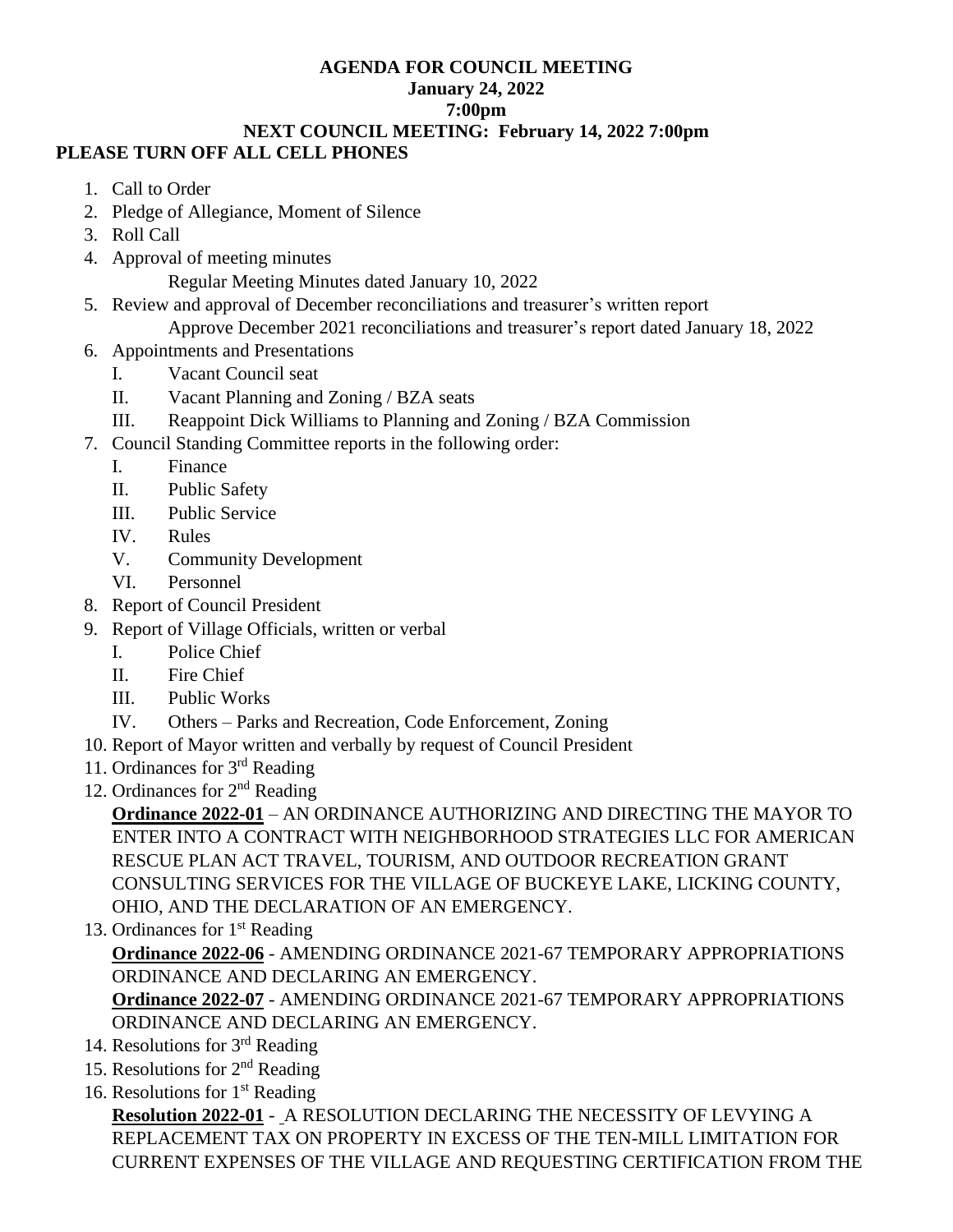#### **AGENDA FOR COUNCIL MEETING January 24, 2022 7:00pm NEXT COUNCIL MEETING: February 14, 2022 7:00pm**

# **PLEASE TURN OFF ALL CELL PHONES**

- 1. Call to Order
- 2. Pledge of Allegiance, Moment of Silence
- 3. Roll Call
- 4. Approval of meeting minutes

Regular Meeting Minutes dated January 10, 2022

5. Review and approval of December reconciliations and treasurer's written report

Approve December 2021 reconciliations and treasurer's report dated January 18, 2022

- 6. Appointments and Presentations
	- I. Vacant Council seat
	- II. Vacant Planning and Zoning / BZA seats
	- III. Reappoint Dick Williams to Planning and Zoning / BZA Commission
- 7. Council Standing Committee reports in the following order:
	- I. Finance
	- II. Public Safety
	- III. Public Service
	- IV. Rules
	- V. Community Development
	- VI. Personnel
- 8. Report of Council President
- 9. Report of Village Officials, written or verbal
	- I. Police Chief
	- II. Fire Chief
	- III. Public Works
	- IV. Others Parks and Recreation, Code Enforcement, Zoning
- 10. Report of Mayor written and verbally by request of Council President
- 11. Ordinances for 3rd Reading
- 12. Ordinances for  $2<sup>nd</sup>$  Reading

**Ordinance 2022-01** – AN ORDINANCE AUTHORIZING AND DIRECTING THE MAYOR TO ENTER INTO A CONTRACT WITH NEIGHBORHOOD STRATEGIES LLC FOR AMERICAN RESCUE PLAN ACT TRAVEL, TOURISM, AND OUTDOOR RECREATION GRANT CONSULTING SERVICES FOR THE VILLAGE OF BUCKEYE LAKE, LICKING COUNTY, OHIO, AND THE DECLARATION OF AN EMERGENCY.

13. Ordinances for  $1<sup>st</sup>$  Reading

**Ordinance 2022-06** - AMENDING ORDINANCE 2021-67 TEMPORARY APPROPRIATIONS ORDINANCE AND DECLARING AN EMERGENCY.

**Ordinance 2022-07** - AMENDING ORDINANCE 2021-67 TEMPORARY APPROPRIATIONS ORDINANCE AND DECLARING AN EMERGENCY.

- 14. Resolutions for  $3<sup>rd</sup>$  Reading
- 15. Resolutions for 2nd Reading
- 16. Resolutions for  $1<sup>st</sup>$  Reading

**Resolution 2022-01** - A RESOLUTION DECLARING THE NECESSITY OF LEVYING A REPLACEMENT TAX ON PROPERTY IN EXCESS OF THE TEN-MILL LIMITATION FOR CURRENT EXPENSES OF THE VILLAGE AND REQUESTING CERTIFICATION FROM THE